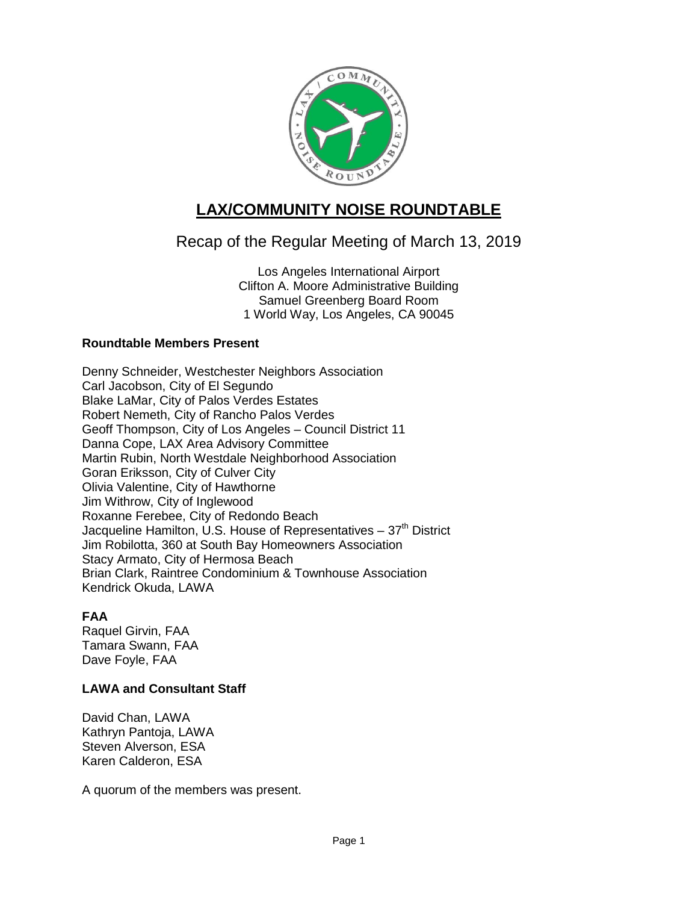

# **LAX/COMMUNITY NOISE ROUNDTABLE**

# Recap of the Regular Meeting of March 13, 2019

Los Angeles International Airport Clifton A. Moore Administrative Building Samuel Greenberg Board Room 1 World Way, Los Angeles, CA 90045

# **Roundtable Members Present**

Denny Schneider, Westchester Neighbors Association Carl Jacobson, City of El Segundo Blake LaMar, City of Palos Verdes Estates Robert Nemeth, City of Rancho Palos Verdes Geoff Thompson, City of Los Angeles – Council District 11 Danna Cope, LAX Area Advisory Committee Martin Rubin, North Westdale Neighborhood Association Goran Eriksson, City of Culver City Olivia Valentine, City of Hawthorne Jim Withrow, City of Inglewood Roxanne Ferebee, City of Redondo Beach Jacqueline Hamilton, U.S. House of Representatives  $-37<sup>th</sup>$  District Jim Robilotta, 360 at South Bay Homeowners Association Stacy Armato, City of Hermosa Beach Brian Clark, Raintree Condominium & Townhouse Association Kendrick Okuda, LAWA

# **FAA**

Raquel Girvin, FAA Tamara Swann, FAA Dave Foyle, FAA

# **LAWA and Consultant Staff**

David Chan, LAWA Kathryn Pantoja, LAWA Steven Alverson, ESA Karen Calderon, ESA

A quorum of the members was present.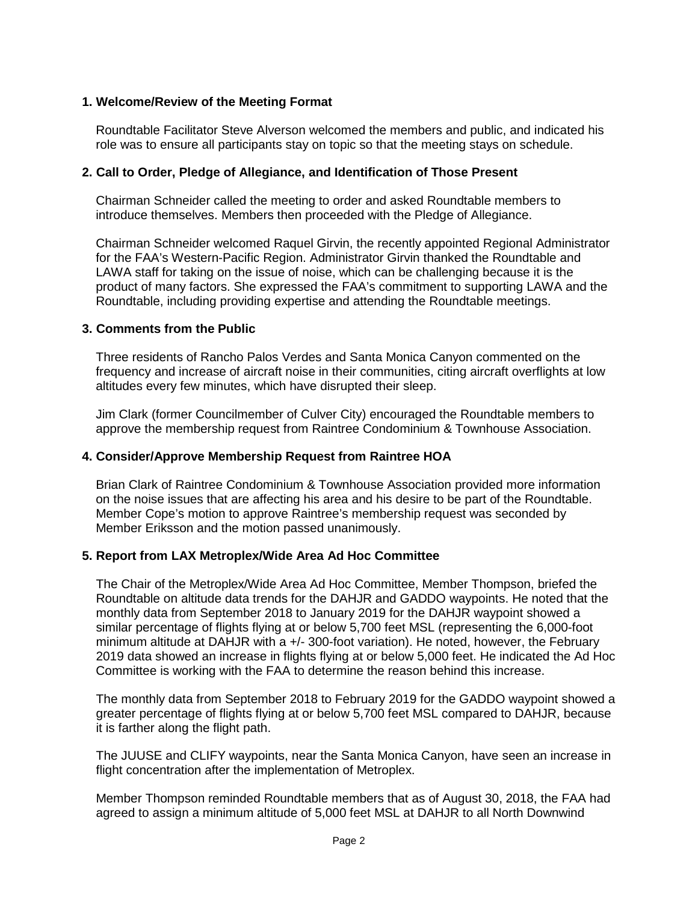#### **1. Welcome/Review of the Meeting Format**

Roundtable Facilitator Steve Alverson welcomed the members and public, and indicated his role was to ensure all participants stay on topic so that the meeting stays on schedule.

#### **2. Call to Order, Pledge of Allegiance, and Identification of Those Present**

Chairman Schneider called the meeting to order and asked Roundtable members to introduce themselves. Members then proceeded with the Pledge of Allegiance.

Chairman Schneider welcomed Raquel Girvin, the recently appointed Regional Administrator for the FAA's Western-Pacific Region. Administrator Girvin thanked the Roundtable and LAWA staff for taking on the issue of noise, which can be challenging because it is the product of many factors. She expressed the FAA's commitment to supporting LAWA and the Roundtable, including providing expertise and attending the Roundtable meetings.

#### **3. Comments from the Public**

Three residents of Rancho Palos Verdes and Santa Monica Canyon commented on the frequency and increase of aircraft noise in their communities, citing aircraft overflights at low altitudes every few minutes, which have disrupted their sleep.

Jim Clark (former Councilmember of Culver City) encouraged the Roundtable members to approve the membership request from Raintree Condominium & Townhouse Association.

#### **4. Consider/Approve Membership Request from Raintree HOA**

Brian Clark of Raintree Condominium & Townhouse Association provided more information on the noise issues that are affecting his area and his desire to be part of the Roundtable. Member Cope's motion to approve Raintree's membership request was seconded by Member Eriksson and the motion passed unanimously.

#### **5. Report from LAX Metroplex/Wide Area Ad Hoc Committee**

The Chair of the Metroplex/Wide Area Ad Hoc Committee, Member Thompson, briefed the Roundtable on altitude data trends for the DAHJR and GADDO waypoints. He noted that the monthly data from September 2018 to January 2019 for the DAHJR waypoint showed a similar percentage of flights flying at or below 5,700 feet MSL (representing the 6,000-foot minimum altitude at DAHJR with a +/- 300-foot variation). He noted, however, the February 2019 data showed an increase in flights flying at or below 5,000 feet. He indicated the Ad Hoc Committee is working with the FAA to determine the reason behind this increase.

The monthly data from September 2018 to February 2019 for the GADDO waypoint showed a greater percentage of flights flying at or below 5,700 feet MSL compared to DAHJR, because it is farther along the flight path.

The JUUSE and CLIFY waypoints, near the Santa Monica Canyon, have seen an increase in flight concentration after the implementation of Metroplex.

Member Thompson reminded Roundtable members that as of August 30, 2018, the FAA had agreed to assign a minimum altitude of 5,000 feet MSL at DAHJR to all North Downwind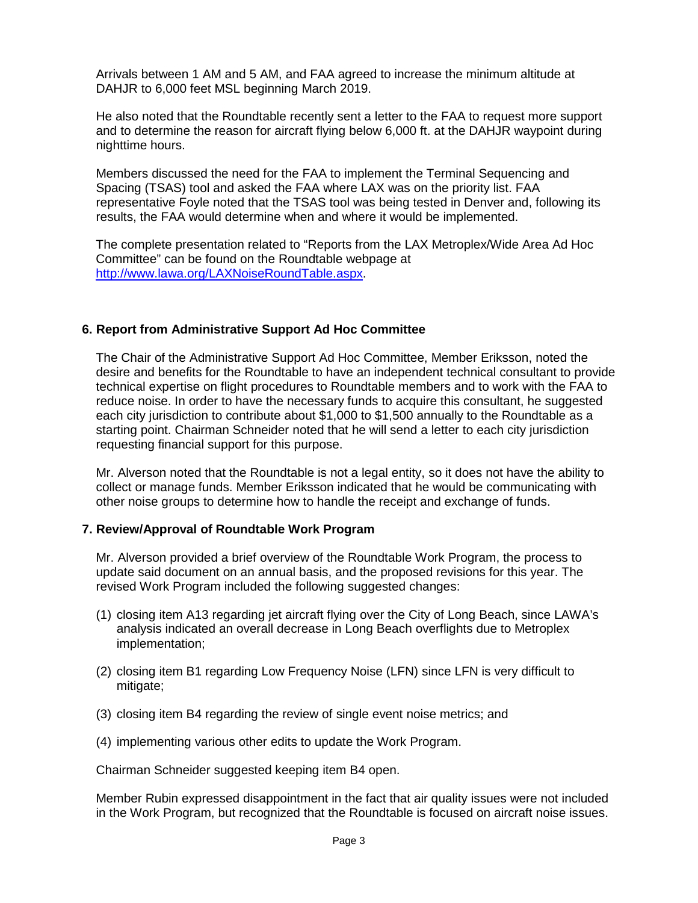Arrivals between 1 AM and 5 AM, and FAA agreed to increase the minimum altitude at DAHJR to 6,000 feet MSL beginning March 2019.

He also noted that the Roundtable recently sent a letter to the FAA to request more support and to determine the reason for aircraft flying below 6,000 ft. at the DAHJR waypoint during nighttime hours.

Members discussed the need for the FAA to implement the Terminal Sequencing and Spacing (TSAS) tool and asked the FAA where LAX was on the priority list. FAA representative Foyle noted that the TSAS tool was being tested in Denver and, following its results, the FAA would determine when and where it would be implemented.

The complete presentation related to "Reports from the LAX Metroplex/Wide Area Ad Hoc Committee" can be found on the Roundtable webpage at [http://www.lawa.org/LAXNoiseRoundTable.aspx.](http://www.lawa.org/LAXNoiseRoundTable.aspx)

# **6. Report from Administrative Support Ad Hoc Committee**

The Chair of the Administrative Support Ad Hoc Committee, Member Eriksson, noted the desire and benefits for the Roundtable to have an independent technical consultant to provide technical expertise on flight procedures to Roundtable members and to work with the FAA to reduce noise. In order to have the necessary funds to acquire this consultant, he suggested each city jurisdiction to contribute about \$1,000 to \$1,500 annually to the Roundtable as a starting point. Chairman Schneider noted that he will send a letter to each city jurisdiction requesting financial support for this purpose.

Mr. Alverson noted that the Roundtable is not a legal entity, so it does not have the ability to collect or manage funds. Member Eriksson indicated that he would be communicating with other noise groups to determine how to handle the receipt and exchange of funds.

#### **7. Review/Approval of Roundtable Work Program**

Mr. Alverson provided a brief overview of the Roundtable Work Program, the process to update said document on an annual basis, and the proposed revisions for this year. The revised Work Program included the following suggested changes:

- (1) closing item A13 regarding jet aircraft flying over the City of Long Beach, since LAWA's analysis indicated an overall decrease in Long Beach overflights due to Metroplex implementation;
- (2) closing item B1 regarding Low Frequency Noise (LFN) since LFN is very difficult to mitigate;
- (3) closing item B4 regarding the review of single event noise metrics; and
- (4) implementing various other edits to update the Work Program.

Chairman Schneider suggested keeping item B4 open.

Member Rubin expressed disappointment in the fact that air quality issues were not included in the Work Program, but recognized that the Roundtable is focused on aircraft noise issues.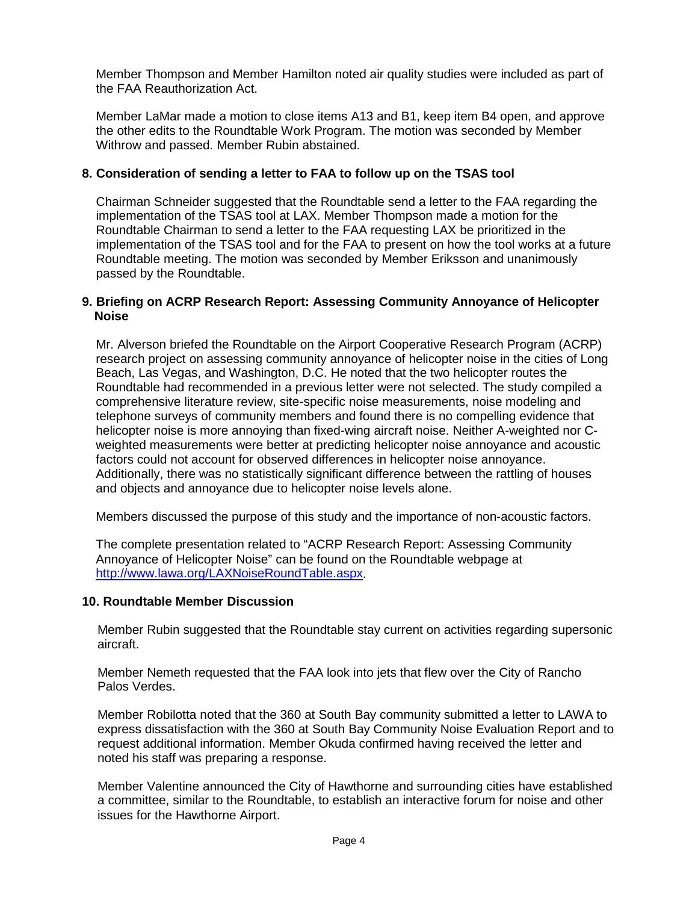Member Thompson and Member Hamilton noted air quality studies were included as part of the FAA Reauthorization Act.

Member LaMar made a motion to close items A13 and B1, keep item B4 open, and approve the other edits to the Roundtable Work Program. The motion was seconded by Member Withrow and passed. Member Rubin abstained.

# **8. Consideration of sending a letter to FAA to follow up on the TSAS tool**

Chairman Schneider suggested that the Roundtable send a letter to the FAA regarding the implementation of the TSAS tool at LAX. Member Thompson made a motion for the Roundtable Chairman to send a letter to the FAA requesting LAX be prioritized in the implementation of the TSAS tool and for the FAA to present on how the tool works at a future Roundtable meeting. The motion was seconded by Member Eriksson and unanimously passed by the Roundtable.

#### **9. Briefing on ACRP Research Report: Assessing Community Annoyance of Helicopter Noise**

Mr. Alverson briefed the Roundtable on the Airport Cooperative Research Program (ACRP) research project on assessing community annoyance of helicopter noise in the cities of Long Beach, Las Vegas, and Washington, D.C. He noted that the two helicopter routes the Roundtable had recommended in a previous letter were not selected. The study compiled a comprehensive literature review, site-specific noise measurements, noise modeling and telephone surveys of community members and found there is no compelling evidence that helicopter noise is more annoying than fixed-wing aircraft noise. Neither A-weighted nor Cweighted measurements were better at predicting helicopter noise annoyance and acoustic factors could not account for observed differences in helicopter noise annoyance. Additionally, there was no statistically significant difference between the rattling of houses and objects and annoyance due to helicopter noise levels alone.

Members discussed the purpose of this study and the importance of non-acoustic factors.

The complete presentation related to "ACRP Research Report: Assessing Community Annoyance of Helicopter Noise" can be found on the Roundtable webpage at [http://www.lawa.org/LAXNoiseRoundTable.aspx.](http://www.lawa.org/LAXNoiseRoundTable.aspx)

#### **10. Roundtable Member Discussion**

Member Rubin suggested that the Roundtable stay current on activities regarding supersonic aircraft.

Member Nemeth requested that the FAA look into jets that flew over the City of Rancho Palos Verdes.

Member Robilotta noted that the 360 at South Bay community submitted a letter to LAWA to express dissatisfaction with the 360 at South Bay Community Noise Evaluation Report and to request additional information. Member Okuda confirmed having received the letter and noted his staff was preparing a response.

Member Valentine announced the City of Hawthorne and surrounding cities have established a committee, similar to the Roundtable, to establish an interactive forum for noise and other issues for the Hawthorne Airport.